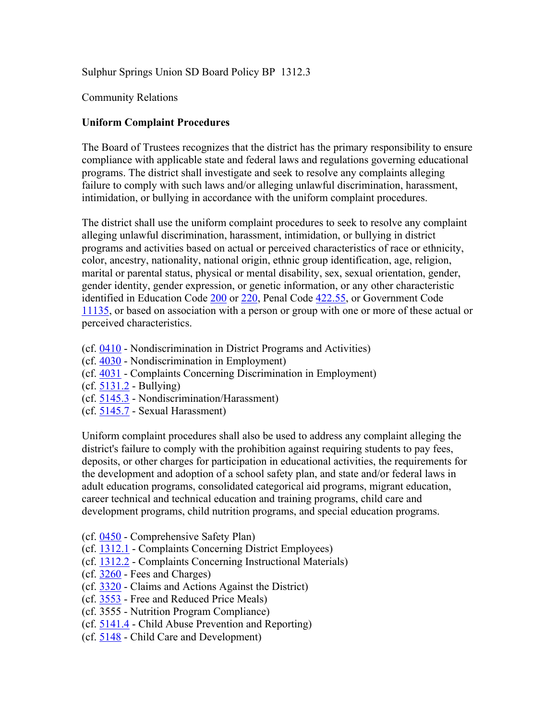Sulphur Springs Union SD Board Policy BP 1312.3

Community Relations

## **Uniform Complaint Procedures**

The Board of Trustees recognizes that the district has the primary responsibility to ensure compliance with applicable state and federal laws and regulations governing educational programs. The district shall investigate and seek to resolve any complaints alleging failure to comply with such laws and/or alleging unlawful discrimination, harassment, intimidation, or bullying in accordance with the uniform complaint procedures.

The district shall use the uniform complaint procedures to seek to resolve any complaint alleging unlawful discrimination, harassment, intimidation, or bullying in district programs and activities based on actual or perceived characteristics of race or ethnicity, color, ancestry, nationality, national origin, ethnic group identification, age, religion, marital or parental status, physical or mental disability, sex, sexual orientation, gender, gender identity, gender expression, or genetic information, or any other characteristic identified in Education Code 200 or 220, Penal Code 422.55, or Government Code 11135, or based on association with a person or group with one or more of these actual or perceived characteristics.

- (cf. 0410 Nondiscrimination in District Programs and Activities)
- (cf. 4030 Nondiscrimination in Employment)
- (cf. 4031 Complaints Concerning Discrimination in Employment)
- (cf. 5131.2 Bullying)
- (cf. 5145.3 Nondiscrimination/Harassment)
- (cf. 5145.7 Sexual Harassment)

Uniform complaint procedures shall also be used to address any complaint alleging the district's failure to comply with the prohibition against requiring students to pay fees, deposits, or other charges for participation in educational activities, the requirements for the development and adoption of a school safety plan, and state and/or federal laws in adult education programs, consolidated categorical aid programs, migrant education, career technical and technical education and training programs, child care and development programs, child nutrition programs, and special education programs.

- (cf. 0450 Comprehensive Safety Plan)
- (cf. 1312.1 Complaints Concerning District Employees)
- (cf. 1312.2 Complaints Concerning Instructional Materials)
- (cf. 3260 Fees and Charges)
- (cf. 3320 Claims and Actions Against the District)
- (cf. 3553 Free and Reduced Price Meals)
- (cf. 3555 Nutrition Program Compliance)
- (cf. 5141.4 Child Abuse Prevention and Reporting)
- (cf. 5148 Child Care and Development)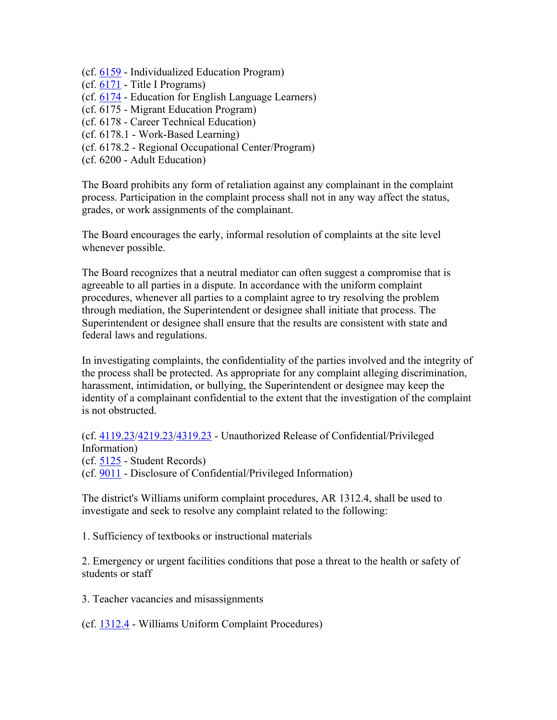- (cf. 6159 Individualized Education Program)
- (cf. 6171 Title I Programs)
- (cf. 6174 Education for English Language Learners)
- (cf. 6175 Migrant Education Program)
- (cf. 6178 Career Technical Education)
- (cf. 6178.1 Work-Based Learning)
- (cf. 6178.2 Regional Occupational Center/Program)
- (cf. 6200 Adult Education)

The Board prohibits any form of retaliation against any complainant in the complaint process. Participation in the complaint process shall not in any way affect the status, grades, or work assignments of the complainant.

The Board encourages the early, informal resolution of complaints at the site level whenever possible.

The Board recognizes that a neutral mediator can often suggest a compromise that is agreeable to all parties in a dispute. In accordance with the uniform complaint procedures, whenever all parties to a complaint agree to try resolving the problem through mediation, the Superintendent or designee shall initiate that process. The Superintendent or designee shall ensure that the results are consistent with state and federal laws and regulations.

In investigating complaints, the confidentiality of the parties involved and the integrity of the process shall be protected. As appropriate for any complaint alleging discrimination, harassment, intimidation, or bullying, the Superintendent or designee may keep the identity of a complainant confidential to the extent that the investigation of the complaint is not obstructed.

(cf. 4119.23/4219.23/4319.23 - Unauthorized Release of Confidential/Privileged Information)

(cf. 5125 - Student Records) (cf. 9011 - Disclosure of Confidential/Privileged Information)

The district's Williams uniform complaint procedures, AR 1312.4, shall be used to investigate and seek to resolve any complaint related to the following:

1. Sufficiency of textbooks or instructional materials

2. Emergency or urgent facilities conditions that pose a threat to the health or safety of students or staff

3. Teacher vacancies and misassignments

(cf. 1312.4 - Williams Uniform Complaint Procedures)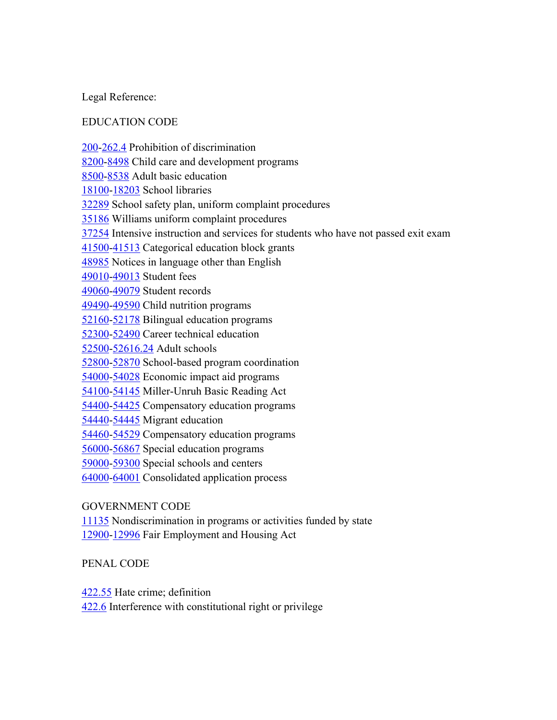Legal Reference:

# EDUCATION CODE

200-262.4 Prohibition of discrimination 8200-8498 Child care and development programs 8500-8538 Adult basic education 18100-18203 School libraries 32289 School safety plan, uniform complaint procedures 35186 Williams uniform complaint procedures 37254 Intensive instruction and services for students who have not passed exit exam 41500-41513 Categorical education block grants 48985 Notices in language other than English 49010-49013 Student fees 49060-49079 Student records 49490-49590 Child nutrition programs 52160-52178 Bilingual education programs 52300-52490 Career technical education 52500-52616.24 Adult schools 52800-52870 School-based program coordination 54000-54028 Economic impact aid programs 54100-54145 Miller-Unruh Basic Reading Act 54400-54425 Compensatory education programs 54440-54445 Migrant education 54460-54529 Compensatory education programs 56000-56867 Special education programs 59000-59300 Special schools and centers 64000-64001 Consolidated application process

## GOVERNMENT CODE

11135 Nondiscrimination in programs or activities funded by state 12900-12996 Fair Employment and Housing Act

## PENAL CODE

422.55 Hate crime; definition

422.6 Interference with constitutional right or privilege